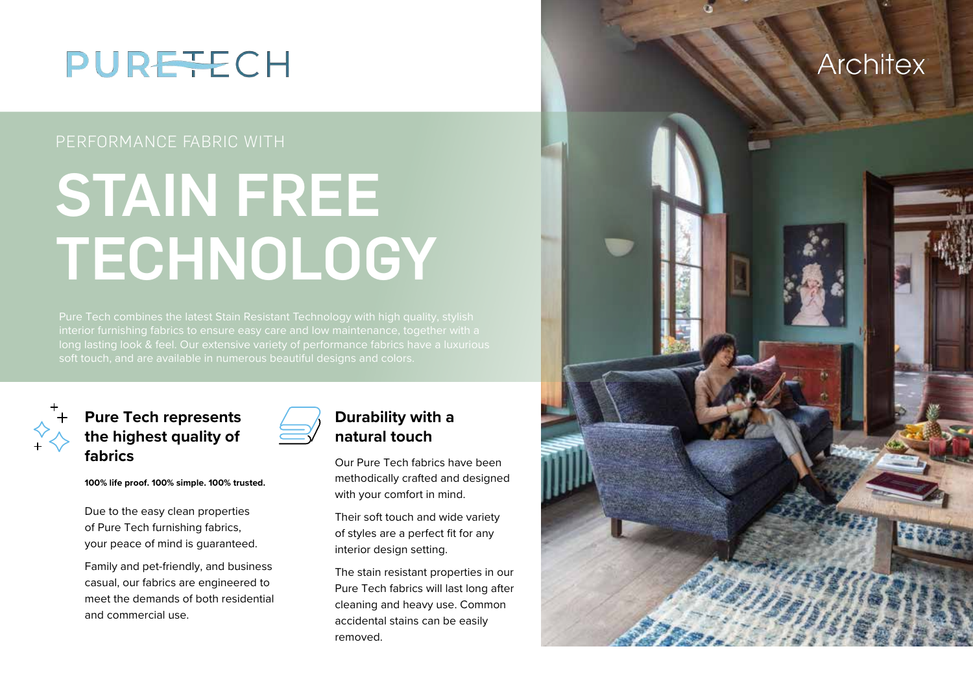

## PERFORMANCE FABRIC WITH

# STAIN FREE **TECHNOLOGY**

Pure Tech combines the latest Stain Resistant Technology with high quality, stylish long lasting look & feel. Our extensive variety of performance fabrics have a luxurious soft touch, and are available in numerous beautiful designs and colors.



## **Pure Tech represents the highest quality of fabrics**

**100% life proof. 100% simple. 100% trusted.**

Family and pet-friendly, and business casual, our fabrics are engineered to meet the demands of both residential

Due to the easy clean properties of Pure Tech furnishing fabrics, your peace of mind is guaranteed.

and commercial use.



## **Durability with a natural touch**

Our Pure Tech fabrics have been methodically crafted and designed with your comfort in mind.

Their soft touch and wide variety of styles are a perfect fit for any interior design setting.

The stain resistant properties in our Pure Tech fabrics will last long after cleaning and heavy use. Common accidental stains can be easily removed.

## **Architex**

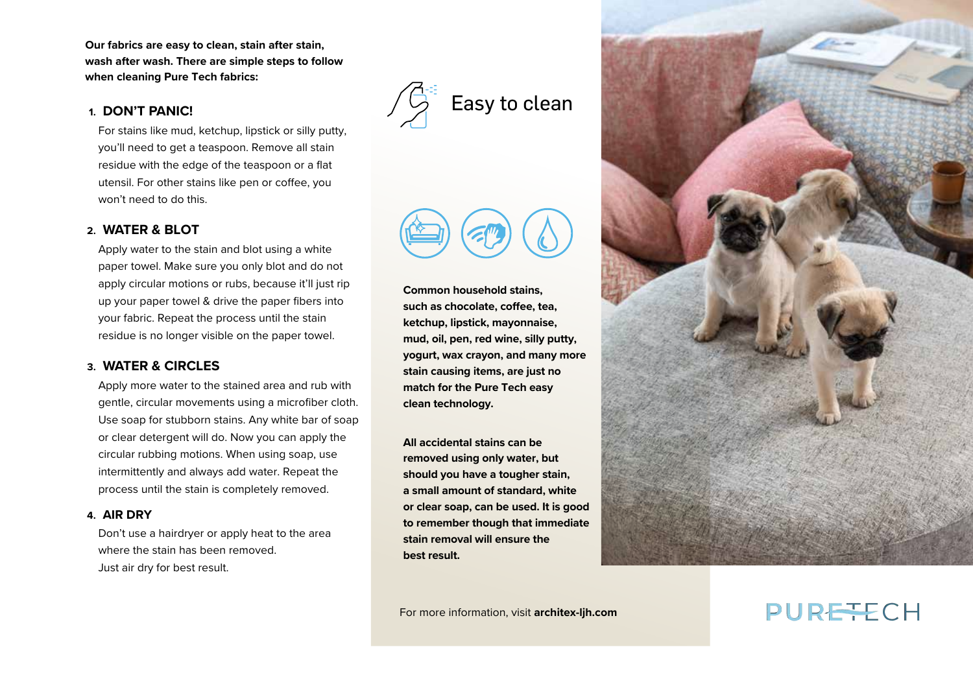**Our fabrics are easy to clean, stain after stain, wash after wash. There are simple steps to follow when cleaning Pure Tech fabrics:** 

#### **1. DON'T PANIC!**

For stains like mud, ketchup, lipstick or silly putty, you'll need to get a teaspoon. Remove all stain residue with the edge of the teaspoon or a flat utensil. For other stains like pen or coffee, you won't need to do this.

#### **2. WATER & BLOT**

Apply water to the stain and blot using a white paper towel. Make sure you only blot and do not apply circular motions or rubs, because it'll just rip up your paper towel & drive the paper fibers into your fabric. Repeat the process until the stain residue is no longer visible on the paper towel.

#### **3. WATER & CIRCLES**

Apply more water to the stained area and rub with gentle, circular movements using a microfiber cloth. Use soap for stubborn stains. Any white bar of soap or clear detergent will do. Now you can apply the circular rubbing motions. When using soap, use intermittently and always add water. Repeat the process until the stain is completely removed.

#### **4. AIR DRY**

Don't use a hairdryer or apply heat to the area where the stain has been removed. Just air dry for best result.



**Common household stains, such as chocolate, coffee, tea, ketchup, lipstick, mayonnaise, mud, oil, pen, red wine, silly putty, yogurt, wax crayon, and many more stain causing items, are just no match for the Pure Tech easy clean technology.** 

**All accidental stains can be removed using only water, but should you have a tougher stain, a small amount of standard, white or clear soap, can be used. It is good to remember though that immediate stain removal will ensure the best result.**



For more information, visit **architex-ljh.com**

## PUREFCH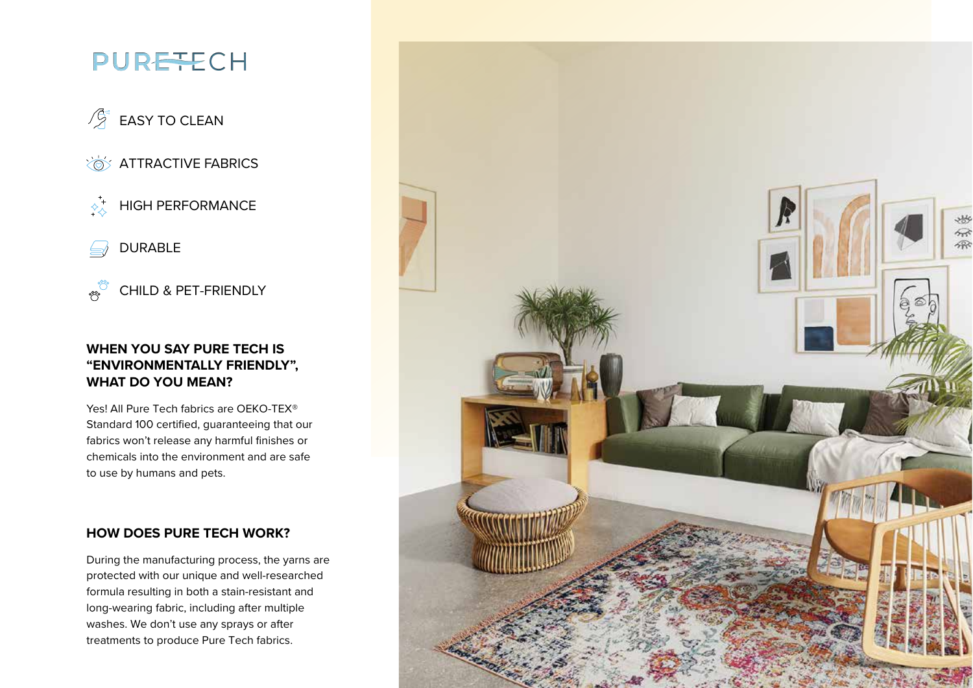## **PURETECH**

## $\mathcal{P}_{\mathcal{A}}^{\mathcal{A}}$  EASY TO CLEAN

**ATTRACTIVE FABRICS** 

 $\overrightarrow{A}$  HIGH PERFORMANCE

DURABLE  $\Longleftrightarrow$ 

ೢೢಁ CHILD & PET-FRIENDLY

## **WHEN YOU SAY PURE TECH IS "ENVIRONMENTALLY FRIENDLY", WHAT DO YOU MEAN?**

Yes! All Pure Tech fabrics are OEKO-TEX® Standard 100 certified, guaranteeing that our fabrics won't release any harmful finishes or chemicals into the environment and are safe to use by humans and pets.

### **HOW DOES PURE TECH WORK?**

During the manufacturing process, the yarns are protected with our unique and well-researched formula resulting in both a stain-resistant and long-wearing fabric, including after multiple washes. We don't use any sprays or after treatments to produce Pure Tech fabrics.

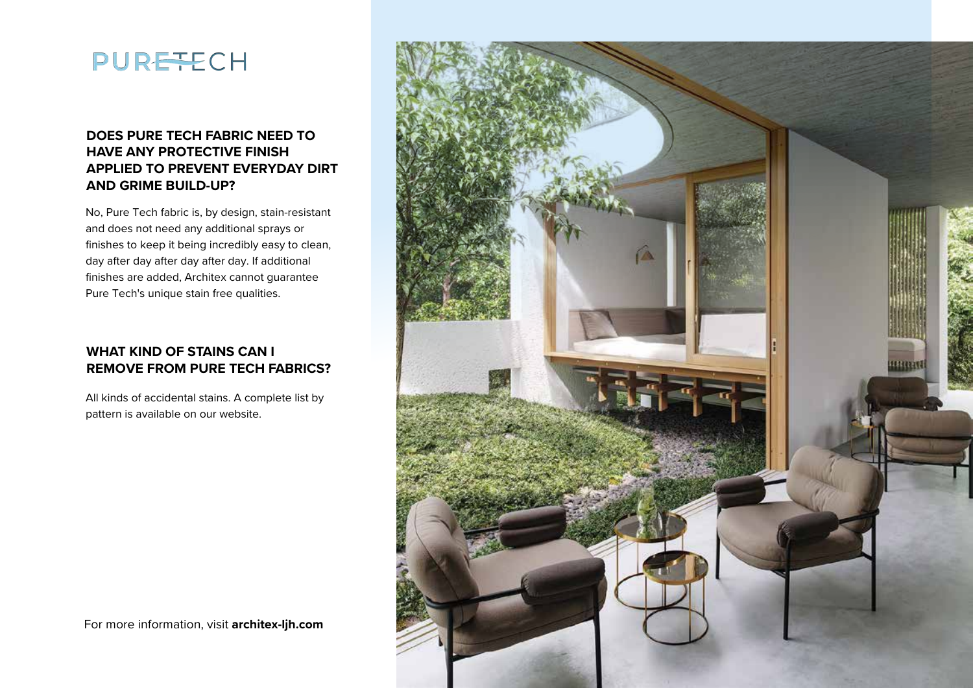

## **DOES PURE TECH FABRIC NEED TO HAVE ANY PROTECTIVE FINISH APPLIED TO PREVENT EVERYDAY DIRT AND GRIME BUILD-UP?**

No, Pure Tech fabric is, by design, stain-resistant and does not need any additional sprays or finishes to keep it being incredibly easy to clean, day after day after day after day. If additional finishes are added, Architex cannot guarantee Pure Tech's unique stain free qualities.

## **WHAT KIND OF STAINS CAN I REMOVE FROM PURE TECH FABRICS?**

All kinds of accidental stains. A complete list by pattern is available on our website.



For more information, visit **architex-ljh.com**